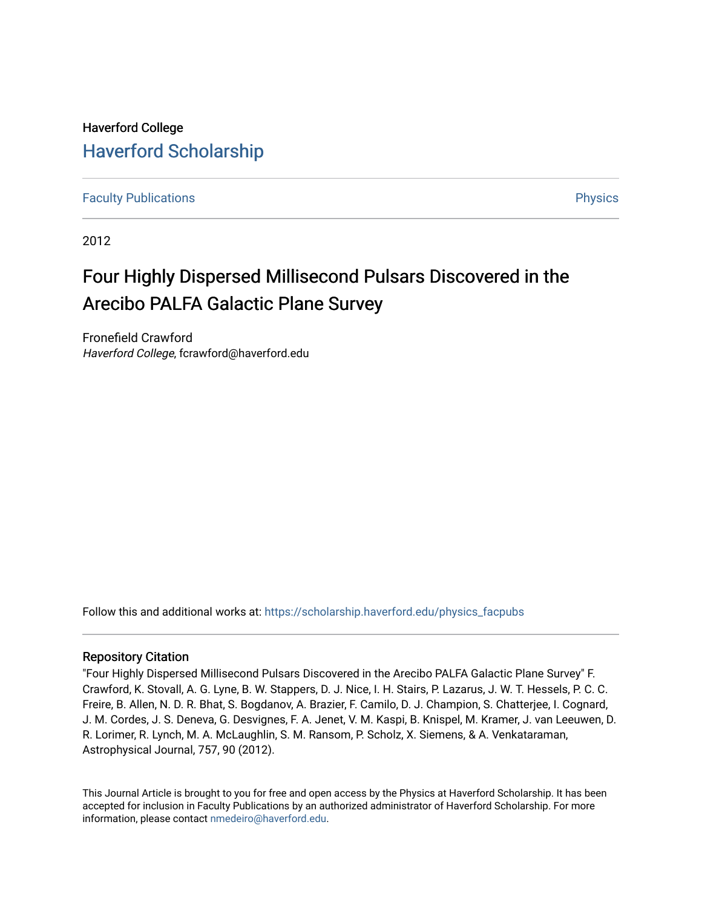# Haverford College [Haverford Scholarship](https://scholarship.haverford.edu/)

[Faculty Publications](https://scholarship.haverford.edu/physics_facpubs) **Physics** 

2012

# Four Highly Dispersed Millisecond Pulsars Discovered in the Arecibo PALFA Galactic Plane Survey

Fronefield Crawford Haverford College, fcrawford@haverford.edu

Follow this and additional works at: [https://scholarship.haverford.edu/physics\\_facpubs](https://scholarship.haverford.edu/physics_facpubs?utm_source=scholarship.haverford.edu%2Fphysics_facpubs%2F376&utm_medium=PDF&utm_campaign=PDFCoverPages) 

# Repository Citation

"Four Highly Dispersed Millisecond Pulsars Discovered in the Arecibo PALFA Galactic Plane Survey" F. Crawford, K. Stovall, A. G. Lyne, B. W. Stappers, D. J. Nice, I. H. Stairs, P. Lazarus, J. W. T. Hessels, P. C. C. Freire, B. Allen, N. D. R. Bhat, S. Bogdanov, A. Brazier, F. Camilo, D. J. Champion, S. Chatterjee, I. Cognard, J. M. Cordes, J. S. Deneva, G. Desvignes, F. A. Jenet, V. M. Kaspi, B. Knispel, M. Kramer, J. van Leeuwen, D. R. Lorimer, R. Lynch, M. A. McLaughlin, S. M. Ransom, P. Scholz, X. Siemens, & A. Venkataraman, Astrophysical Journal, 757, 90 (2012).

This Journal Article is brought to you for free and open access by the Physics at Haverford Scholarship. It has been accepted for inclusion in Faculty Publications by an authorized administrator of Haverford Scholarship. For more information, please contact [nmedeiro@haverford.edu.](mailto:nmedeiro@haverford.edu)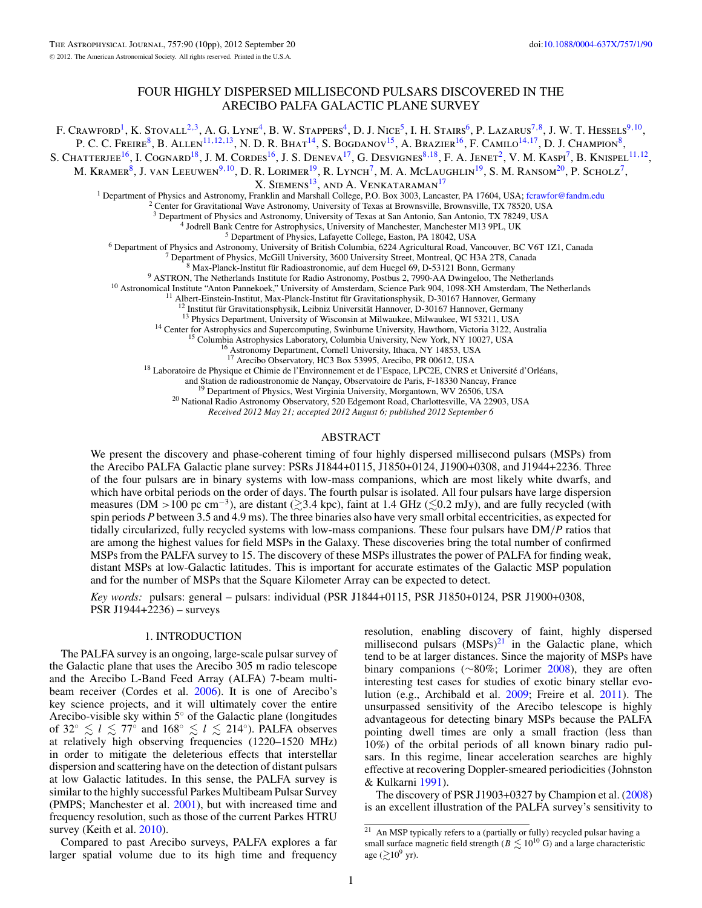## FOUR HIGHLY DISPERSED MILLISECOND PULSARS DISCOVERED IN THE ARECIBO PALFA GALACTIC PLANE SURVEY

F. CRAWFORD<sup>1</sup>, K. STOVALL<sup>2,3</sup>, A. G. LYNE<sup>4</sup>, B. W. STAPPERS<sup>4</sup>, D. J. Nice<sup>5</sup>, I. H. STAIRS<sup>6</sup>, P. LAZARUS<sup>7,8</sup>, J. W. T. HESSELS<sup>9,10</sup>, P. C. C. Freire<sup>8</sup>, B. Allen<sup>11,12,13</sup>, N. D. R. Bhat<sup>14</sup>, S. Bogdanov<sup>15</sup>, A. Brazier<sup>16</sup>, F. Camilo<sup>14,17</sup>, D. J. Champion<sup>8</sup>, S. CHATTERJEE<sup>16</sup>, I. COGNARD<sup>18</sup>, J. M. CORDES<sup>16</sup>, J. S. DENEVA<sup>17</sup>, G. DESVIGNES<sup>8,18</sup>, F. A. JENET<sup>2</sup>, V. M. KASPI<sup>7</sup>, B. KNISPEL<sup>11,12</sup>, M. KRAMER<sup>8</sup>, J. VAN LEEUWEN<sup>9, 10</sup>, D. R. LORIMER<sup>19</sup>, R. LYNCH<sup>7</sup>, M. A. MCLAUGHLIN<sup>19</sup>, S. M. RANSOM<sup>20</sup>, P. SCHOLZ<sup>7</sup>, X. SIEMENS<sup>13</sup>, AND A. VENKATARAMAN<sup>17</sup> <sup>1</sup> Department of Physics and Astronomy, Franklin and Marshall College, P.O. Box 3003, Lancaster, PA 17604, USA; [fcrawfor@fandm.edu](mailto:fcrawfor@fandm.edu) <sup>2</sup> Center for Gravitational Wave Astronomy, University of Texas at Brownsville, Brownsvi <sup>3</sup> Department of Physics and Astronomy, University of Texas at San Antonio, San Antonio, TX 78249, USA<br>
<sup>4</sup> Jodrell Bank Center for Astrophysics, University of Marchester, Marchester M13 9PL, UK<br>
<sup>4</sup> Jodrell Bank Center <sup>16</sup> Astronomy Department, Cornell University, Ithaca, NY 14853, USA<br><sup>17</sup> Arecibo Observatory, HC3 Box 53995, Arecibo, PR 00612, USA<br><sup>18</sup> Laboratoire de Physique et Chimie de l'Environnement et de l'Espace, LPC2E, CNRS et

<sup>19</sup> Department of Physics, West Virginia University, Morgantown, WV 26506, USA <sup>20</sup> National Radio Astronomy Observatory, 520 Edgemont Road, Charlottesville, VA 22903, USA

*Received 2012 May 21; accepted 2012 August 6; published 2012 September 6*

#### ABSTRACT

We present the discovery and phase-coherent timing of four highly dispersed millisecond pulsars (MSPs) from the Arecibo PALFA Galactic plane survey: PSRs J1844+0115, J1850+0124, J1900+0308, and J1944+2236. Three of the four pulsars are in binary systems with low-mass companions, which are most likely white dwarfs, and which have orbital periods on the order of days. The fourth pulsar is isolated. All four pulsars have large dispersion measures (DM >100 pc cm<sup>-3</sup>), are distant ( $\gtrsim$ 3.4 kpc), faint at 1.4 GHz ( $\lesssim$ 0.2 mJy), and are fully recycled (with spin periods *P* between 3.5 and 4.9 ms). The three binaries also have very small orbital eccentricities, as expected for tidally circularized, fully recycled systems with low-mass companions. These four pulsars have DM*/P* ratios that are among the highest values for field MSPs in the Galaxy. These discoveries bring the total number of confirmed MSPs from the PALFA survey to 15. The discovery of these MSPs illustrates the power of PALFA for finding weak, distant MSPs at low-Galactic latitudes. This is important for accurate estimates of the Galactic MSP population and for the number of MSPs that the Square Kilometer Array can be expected to detect.

*Key words:* pulsars: general – pulsars: individual (PSR J1844+0115, PSR J1850+0124, PSR J1900+0308, PSR J1944+2236) – surveys

#### 1. INTRODUCTION

The PALFA survey is an ongoing, large-scale pulsar survey of the Galactic plane that uses the Arecibo 305 m radio telescope and the Arecibo L-Band Feed Array (ALFA) 7-beam multibeam receiver (Cordes et al. [2006\)](#page-10-0). It is one of Arecibo's key science projects, and it will ultimately cover the entire Arecibo-visible sky within 5◦ of the Galactic plane (longitudes of  $32° \le l \le 77°$  and  $168° \le l \le 214°$ ). PALFA observes at relatively high observing frequencies (1220–1520 MHz) in order to mitigate the deleterious effects that interstellar dispersion and scattering have on the detection of distant pulsars at low Galactic latitudes. In this sense, the PALFA survey is similar to the highly successful Parkes Multibeam Pulsar Survey (PMPS; Manchester et al. [2001\)](#page-10-0), but with increased time and frequency resolution, such as those of the current Parkes HTRU survey (Keith et al. [2010\)](#page-10-0).

Compared to past Arecibo surveys, PALFA explores a far larger spatial volume due to its high time and frequency

resolution, enabling discovery of faint, highly dispersed millisecond pulsars  $(MSPs)^{21}$  in the Galactic plane, which tend to be at larger distances. Since the majority of MSPs have binary companions (∼80%; Lorimer [2008\)](#page-10-0), they are often interesting test cases for studies of exotic binary stellar evolution (e.g., Archibald et al. [2009;](#page-10-0) Freire et al. [2011\)](#page-10-0). The unsurpassed sensitivity of the Arecibo telescope is highly advantageous for detecting binary MSPs because the PALFA pointing dwell times are only a small fraction (less than 10%) of the orbital periods of all known binary radio pulsars. In this regime, linear acceleration searches are highly effective at recovering Doppler-smeared periodicities (Johnston & Kulkarni [1991\)](#page-10-0).

The discovery of PSR J1903+0327 by Champion et al. [\(2008\)](#page-10-0) is an excellent illustration of the PALFA survey's sensitivity to

 $21$  An MSP typically refers to a (partially or fully) recycled pulsar having a small surface magnetic field strength ( $B \lesssim 10^{10}$  G) and a large characteristic age  $(\gtrsim 10^9 \text{ yr})$ .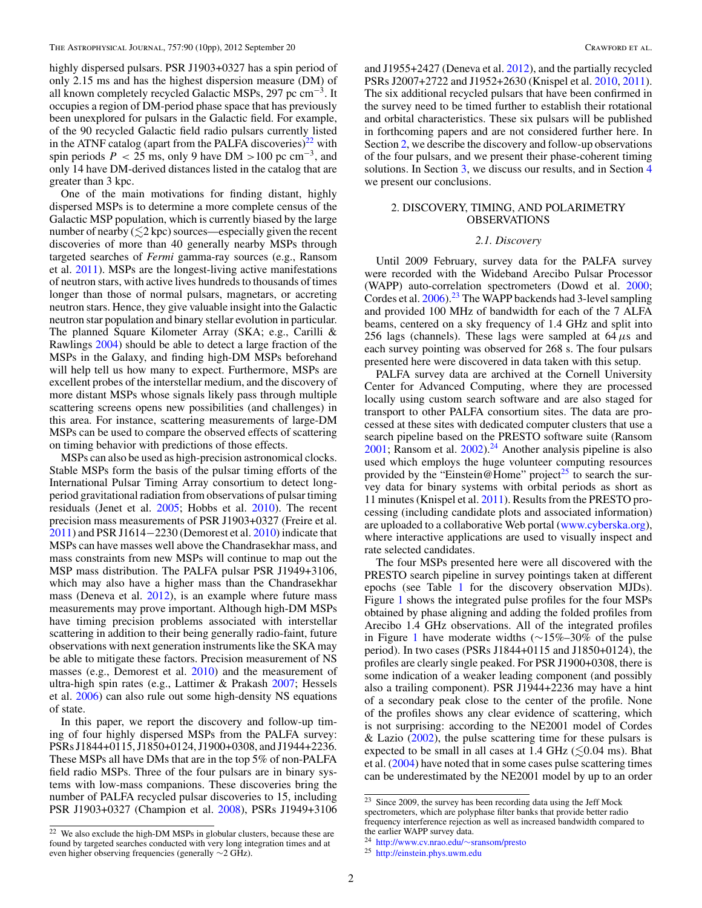highly dispersed pulsars. PSR J1903+0327 has a spin period of only 2.15 ms and has the highest dispersion measure (DM) of all known completely recycled Galactic MSPs, 297 pc  $cm^{-3}$ . It occupies a region of DM-period phase space that has previously been unexplored for pulsars in the Galactic field. For example, of the 90 recycled Galactic field radio pulsars currently listed in the ATNF catalog (apart from the PALFA discoveries)<sup>22</sup> with spin periods  $P < 25$  ms, only 9 have DM > 100 pc cm<sup>-3</sup>, and only 14 have DM-derived distances listed in the catalog that are greater than 3 kpc.

One of the main motivations for finding distant, highly dispersed MSPs is to determine a more complete census of the Galactic MSP population, which is currently biased by the large number of nearby  $(\leq 2 \text{ kpc})$  sources—especially given the recent discoveries of more than 40 generally nearby MSPs through targeted searches of *Fermi* gamma-ray sources (e.g., Ransom et al. [2011\)](#page-10-0). MSPs are the longest-living active manifestations of neutron stars, with active lives hundreds to thousands of times longer than those of normal pulsars, magnetars, or accreting neutron stars. Hence, they give valuable insight into the Galactic neutron star population and binary stellar evolution in particular. The planned Square Kilometer Array (SKA; e.g., Carilli & Rawlings [2004\)](#page-10-0) should be able to detect a large fraction of the MSPs in the Galaxy, and finding high-DM MSPs beforehand will help tell us how many to expect. Furthermore, MSPs are excellent probes of the interstellar medium, and the discovery of more distant MSPs whose signals likely pass through multiple scattering screens opens new possibilities (and challenges) in this area. For instance, scattering measurements of large-DM MSPs can be used to compare the observed effects of scattering on timing behavior with predictions of those effects.

MSPs can also be used as high-precision astronomical clocks. Stable MSPs form the basis of the pulsar timing efforts of the International Pulsar Timing Array consortium to detect longperiod gravitational radiation from observations of pulsar timing residuals (Jenet et al. [2005;](#page-10-0) Hobbs et al. [2010\)](#page-10-0). The recent precision mass measurements of PSR J1903+0327 (Freire et al. [2011\)](#page-10-0) and PSR J1614−2230 (Demorest et al. [2010\)](#page-10-0) indicate that MSPs can have masses well above the Chandrasekhar mass, and mass constraints from new MSPs will continue to map out the MSP mass distribution. The PALFA pulsar PSR J1949+3106, which may also have a higher mass than the Chandrasekhar mass (Deneva et al.  $2012$ ), is an example where future mass measurements may prove important. Although high-DM MSPs have timing precision problems associated with interstellar scattering in addition to their being generally radio-faint, future observations with next generation instruments like the SKA may be able to mitigate these factors. Precision measurement of NS masses (e.g., Demorest et al. [2010\)](#page-10-0) and the measurement of ultra-high spin rates (e.g., Lattimer & Prakash [2007;](#page-10-0) Hessels et al. [2006\)](#page-10-0) can also rule out some high-density NS equations of state.

In this paper, we report the discovery and follow-up timing of four highly dispersed MSPs from the PALFA survey: PSRs J1844+0115, J1850+0124, J1900+0308, and J1944+2236. These MSPs all have DMs that are in the top 5% of non-PALFA field radio MSPs. Three of the four pulsars are in binary systems with low-mass companions. These discoveries bring the number of PALFA recycled pulsar discoveries to 15, including PSR J1903+0327 (Champion et al. [2008\)](#page-10-0), PSRs J1949+3106

and J1955+2427 (Deneva et al. [2012\)](#page-10-0), and the partially recycled PSRs J2007+2722 and J1952+2630 (Knispel et al. [2010,](#page-10-0) [2011\)](#page-10-0). The six additional recycled pulsars that have been confirmed in the survey need to be timed further to establish their rotational and orbital characteristics. These six pulsars will be published in forthcoming papers and are not considered further here. In Section 2, we describe the discovery and follow-up observations of the four pulsars, and we present their phase-coherent timing solutions. In Section [3,](#page-6-0) we discuss our results, and in Section [4](#page-9-0) we present our conclusions.

#### 2. DISCOVERY, TIMING, AND POLARIMETRY **OBSERVATIONS**

#### *2.1. Discovery*

Until 2009 February, survey data for the PALFA survey were recorded with the Wideband Arecibo Pulsar Processor (WAPP) auto-correlation spectrometers (Dowd et al. [2000;](#page-10-0) Cordes et al. [2006\)](#page-10-0).<sup>23</sup> The WAPP backends had 3-level sampling and provided 100 MHz of bandwidth for each of the 7 ALFA beams, centered on a sky frequency of 1.4 GHz and split into 256 lags (channels). These lags were sampled at 64*μ*s and each survey pointing was observed for 268 s. The four pulsars presented here were discovered in data taken with this setup.

PALFA survey data are archived at the Cornell University Center for Advanced Computing, where they are processed locally using custom search software and are also staged for transport to other PALFA consortium sites. The data are processed at these sites with dedicated computer clusters that use a search pipeline based on the PRESTO software suite (Ransom  $2001$ ; Ransom et al.  $2002$ ).<sup>24</sup> Another analysis pipeline is also used which employs the huge volunteer computing resources provided by the "Einstein@Home" project<sup>25</sup> to search the survey data for binary systems with orbital periods as short as 11 minutes (Knispel et al. [2011\)](#page-10-0). Results from the PRESTO processing (including candidate plots and associated information) are uploaded to a collaborative Web portal [\(www.cyberska.org\)](http://www.cyberska.org), where interactive applications are used to visually inspect and rate selected candidates.

The four MSPs presented here were all discovered with the PRESTO search pipeline in survey pointings taken at different epochs (see Table [1](#page-3-0) for the discovery observation MJDs). Figure [1](#page-4-0) shows the integrated pulse profiles for the four MSPs obtained by phase aligning and adding the folded profiles from Arecibo 1.4 GHz observations. All of the integrated profiles in Figure [1](#page-4-0) have moderate widths (∼15%–30% of the pulse period). In two cases (PSRs J1844+0115 and J1850+0124), the profiles are clearly single peaked. For PSR J1900+0308, there is some indication of a weaker leading component (and possibly also a trailing component). PSR J1944+2236 may have a hint of a secondary peak close to the center of the profile. None of the profiles shows any clear evidence of scattering, which is not surprising: according to the NE2001 model of Cordes & Lazio  $(2002)$ , the pulse scattering time for these pulsars is expected to be small in all cases at 1.4 GHz  $(\leq 0.04 \text{ ms})$ . Bhat et al. [\(2004\)](#page-10-0) have noted that in some cases pulse scattering times can be underestimated by the NE2001 model by up to an order

 $22$  We also exclude the high-DM MSPs in globular clusters, because these are found by targeted searches conducted with very long integration times and at even higher observing frequencies (generally ∼2 GHz).

<sup>23</sup> Since 2009, the survey has been recording data using the Jeff Mock spectrometers, which are polyphase filter banks that provide better radio

frequency interference rejection as well as increased bandwidth compared to the earlier WAPP survey data.

<sup>24</sup> [http://www.cv.nrao.edu/](http://www.cv.nrao.edu/~sransom/presto)∼sransom/presto <sup>25</sup> <http://einstein.phys.uwm.edu>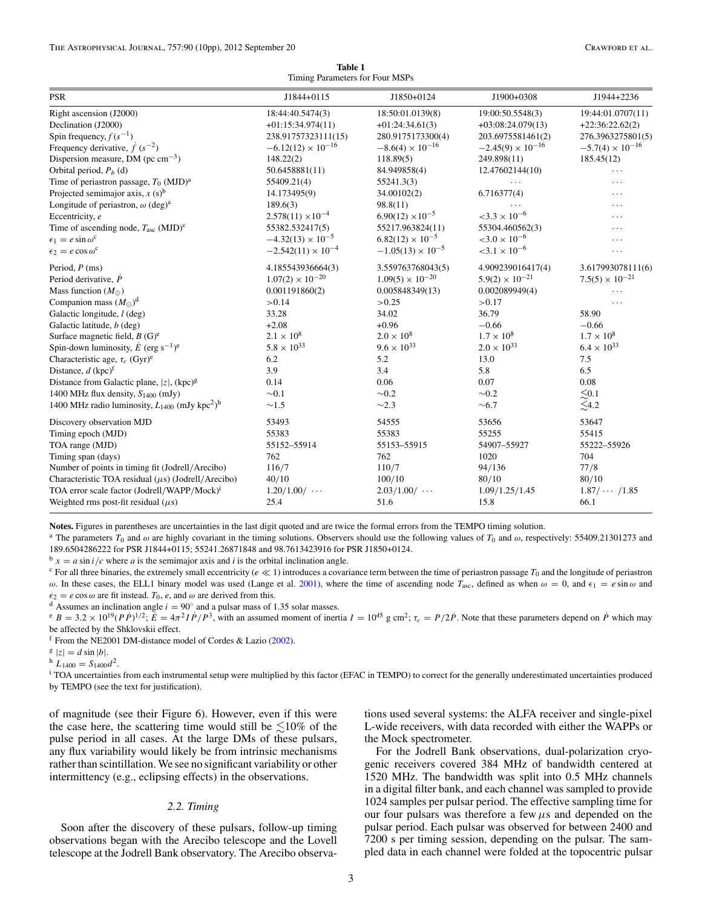**Table 1** Timing Parameters for Four MSPs

<span id="page-3-0"></span>

| <b>PSR</b>                                                                 | J1844+0115                  | J1850+0124                 | J1900+0308                        | J1944+2236                             |
|----------------------------------------------------------------------------|-----------------------------|----------------------------|-----------------------------------|----------------------------------------|
| Right ascension (J2000)                                                    | 18:44:40.5474(3)            | 18:50:01.0139(8)           | 19:00:50.5548(3)                  | 19:44:01.0707(11)                      |
| Declination (J2000)                                                        | $+01:15:34.974(11)$         | $+01:24:34.61(3)$          | $+03:08:24.079(13)$               | $+22:36:22.62(2)$                      |
| Spin frequency, $f(s^{-1})$                                                | 238.91757323111(15)         | 280.9175173300(4)          | 203.6975581461(2)                 | 276.3963275801(5)                      |
| Frequency derivative, $\dot{f}(s^{-2})$                                    | $-6.12(12) \times 10^{-16}$ | $-8.6(4) \times 10^{-16}$  | $-2.45(9) \times 10^{-16}$        | $-5.7(4) \times 10^{-16}$              |
| Dispersion measure, DM ( $pc \text{ cm}^{-3}$ )                            | 148.22(2)                   | 118.89(5)                  | 249.898(11)                       | 185.45(12)                             |
| Orbital period, $P_h$ (d)                                                  | 50.6458881(11)              | 84.949858(4)               | 12.47602144(10)                   | .                                      |
| Time of periastron passage, $T_0$ (MJD) <sup>a</sup>                       | 55409.21(4)                 | 55241.3(3)                 | $\cdots$                          | .                                      |
| Projected semimajor axis, $x(s)^b$                                         | 14.173495(9)                | 34.00102(2)                | 6.716377(4)                       | .                                      |
| Longitude of periastron, $\omega$ (deg) <sup>a</sup>                       | 189.6(3)                    | 98.8(11)                   |                                   | .                                      |
| Eccentricity, e                                                            | $2.578(11) \times 10^{-4}$  | $6.90(12) \times 10^{-5}$  | $<$ 3.3 $\times$ 10 <sup>-6</sup> | .                                      |
| Time of ascending node, $T_{\text{asc}}$ (MJD) <sup>c</sup>                | 55382.532417(5)             | 55217.963824(11)           | 55304.460562(3)                   | .                                      |
| $\epsilon_1 = e \sin \omega^c$                                             | $-4.32(13) \times 10^{-5}$  | $6.82(12) \times 10^{-5}$  | $<$ 3.0 $\times$ 10 <sup>-6</sup> | .                                      |
| $\epsilon_2 = e \cos \omega^c$                                             | $-2.542(11) \times 10^{-4}$ | $-1.05(13) \times 10^{-5}$ | $< 3.1 \times 10^{-6}$            | .                                      |
| Period, $P$ (ms)                                                           | 4.185543936664(3)           | 3.559763768043(5)          | 4.909239016417(4)                 | 3.617993078111(6)                      |
| Period derivative, $\dot{P}$                                               | $1.07(2) \times 10^{-20}$   | $1.09(5) \times 10^{-20}$  | $5.9(2) \times 10^{-21}$          | $7.5(5) \times 10^{-21}$               |
| Mass function $(M_{\odot})$                                                | 0.001191860(2)              | 0.005848349(13)            | 0.002089949(4)                    | .                                      |
| Companion mass $(M_{\odot})^d$                                             | > 0.14                      | >0.25                      | > 0.17                            | .                                      |
| Galactic longitude, <i>l</i> (deg)                                         | 33.28                       | 34.02                      | 36.79                             | 58.90                                  |
| Galactic latitude, b (deg)                                                 | $+2.08$                     | $+0.96$                    | $-0.66$                           | $-0.66$                                |
| Surface magnetic field, $B(G)$ <sup>e</sup>                                | $2.1 \times 10^8$           | $2.0 \times 10^8$          | $1.7 \times 10^{8}$               | $1.7 \times 10^8$                      |
| Spin-down luminosity, $\dot{E}$ (erg s <sup>-1</sup> ) <sup>e</sup>        | $5.8 \times 10^{33}$        | $9.6 \times 10^{33}$       | $2.0 \times 10^{33}$              | $6.4 \times 10^{33}$                   |
| Characteristic age, $\tau_c$ (Gyr) <sup>e</sup>                            | 6.2                         | 5.2                        | 13.0                              | $7.5\,$                                |
| Distance, $d$ (kpc) <sup>f</sup>                                           | 3.9                         | 3.4                        | 5.8                               | 6.5                                    |
| Distance from Galactic plane, $ z $ , (kpc) <sup>g</sup>                   | 0.14                        | 0.06                       | 0.07                              | 0.08                                   |
| 1400 MHz flux density, $S_{1400}$ (mJy)                                    | $\sim 0.1$                  | $\sim 0.2$                 | $\sim 0.2$                        |                                        |
| 1400 MHz radio luminosity, $L_{1400}$ (mJy kpc <sup>2</sup> ) <sup>h</sup> | $\sim1.5$                   | $\sim$ 2.3                 | $\sim 6.7$                        | $\lessapprox 0.1$<br>$\lessapprox 4.2$ |
| Discovery observation MJD                                                  | 53493                       | 54555                      | 53656                             | 53647                                  |
| Timing epoch (MJD)                                                         | 55383                       | 55383                      | 55255                             | 55415                                  |
| TOA range (MJD)                                                            | 55152-55914                 | 55153-55915                | 54907-55927                       | 55222-55926                            |
| Timing span (days)                                                         | 762                         | 762                        | 1020                              | 704                                    |
| Number of points in timing fit (Jodrell/Arecibo)                           | 116/7                       | 110/7                      | 94/136                            | 77/8                                   |
| Characteristic TOA residual $(\mu s)$ (Jodrell/Arecibo)                    | 40/10                       | 100/10                     | 80/10                             | 80/10                                  |
| TOA error scale factor (Jodrell/WAPP/Mock) <sup>i</sup>                    | $1.20/1.00/ \cdots$         | $2.03/1.00/ \cdots$        | 1.09/1.25/1.45                    | $1.87/ \cdots /1.85$                   |
| Weighted rms post-fit residual $(\mu s)$                                   | 25.4                        | 51.6                       | 15.8                              | 66.1                                   |

**Notes.** Figures in parentheses are uncertainties in the last digit quoted and are twice the formal errors from the TEMPO timing solution.

<sup>a</sup> The parameters  $T_0$  and  $\omega$  are highly covariant in the timing solutions. Observers should use the following values of  $T_0$  and  $\omega$ , respectively: 55409.21301273 and 189.6504286222 for PSR J1844+0115; 55241.26871848 and 98.7613423916 for PSR J1850+0124.<br>  $b_x = a \sin i/c$  where a is the semimajor axis and i is the orbital inclination angle.

 $\circ$  For all three binaries, the extremely small eccentricity ( $e \ll 1$ ) introduces a covariance term between the time of periastron passage  $T_0$  and the longitude of periastron *ω*. In these cases, the ELL1 binary model was used (Lange et al. [2001\)](#page-10-0), where the time of ascending node *T*<sub>asc</sub>, defined as when *ω* = 0, and  $\epsilon_1 = e \sin \omega$  and  $\epsilon_2 = e \cos \omega$  are fit instead. *T*<sub>0</sub>, *e*, and *ω* are der

<sup>d</sup> Assumes an inclination angle  $i = 90^{\circ}$  and a pulsar mass of 1.35 solar masses.

 $\epsilon_B = 3.2 \times 10^{19} (P \dot{P})^{1/2}$ ;  $\vec{E} = 4\pi^2 I \dot{P}/P^3$ , with an assumed moment of inertia  $I = 10^{45}$  g cm<sup>2</sup>;  $\tau_c = P/2\dot{P}$ . Note that these parameters depend on  $\dot{P}$  which may be affected by the Shklovskii effect.

f From the NE2001 DM-distance model of Cordes & Lazio  $(2002)$ .

 $\frac{g}{|z|} = d \sin |b|$ .<br>  $\frac{h}{1400} = S_{1400}d^2$ .<br>
i TOA uncertainties from each instrumental setup were multiplied by this factor (EFAC in TEMPO) to correct for the generally underestimated uncertainties produced by TEMPO (see the text for justification).

of magnitude (see their Figure 6). However, even if this were the case here, the scattering time would still be  $\leq 10\%$  of the pulse period in all cases. At the large DMs of these pulsars, any flux variability would likely be from intrinsic mechanisms rather than scintillation. We see no significant variability or other intermittency (e.g., eclipsing effects) in the observations.

## *2.2. Timing*

Soon after the discovery of these pulsars, follow-up timing observations began with the Arecibo telescope and the Lovell telescope at the Jodrell Bank observatory. The Arecibo observations used several systems: the ALFA receiver and single-pixel L-wide receivers, with data recorded with either the WAPPs or the Mock spectrometer.

For the Jodrell Bank observations, dual-polarization cryogenic receivers covered 384 MHz of bandwidth centered at 1520 MHz. The bandwidth was split into 0.5 MHz channels in a digital filter bank, and each channel was sampled to provide 1024 samples per pulsar period. The effective sampling time for our four pulsars was therefore a few *μ*s and depended on the pulsar period. Each pulsar was observed for between 2400 and 7200 s per timing session, depending on the pulsar. The sampled data in each channel were folded at the topocentric pulsar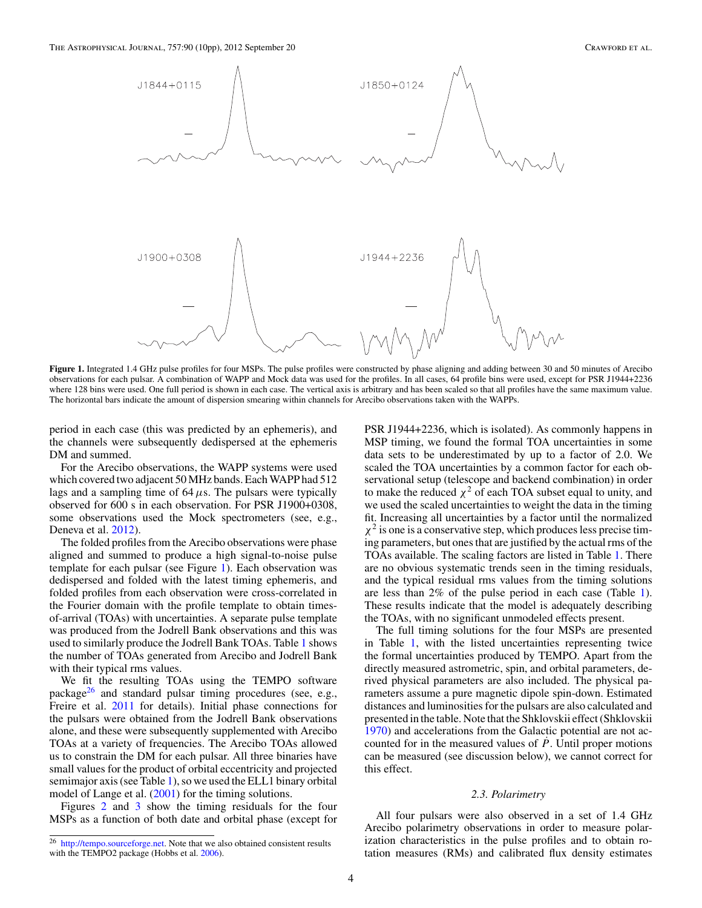<span id="page-4-0"></span>

Figure 1. Integrated 1.4 GHz pulse profiles for four MSPs. The pulse profiles were constructed by phase aligning and adding between 30 and 50 minutes of Arecibo observations for each pulsar. A combination of WAPP and Mock data was used for the profiles. In all cases, 64 profile bins were used, except for PSR J1944+2236 where 128 bins were used. One full period is shown in each case. The vertical axis is arbitrary and has been scaled so that all profiles have the same maximum value. The horizontal bars indicate the amount of dispersion smearing within channels for Arecibo observations taken with the WAPPs.

period in each case (this was predicted by an ephemeris), and the channels were subsequently dedispersed at the ephemeris DM and summed.

For the Arecibo observations, the WAPP systems were used which covered two adjacent 50 MHz bands. Each WAPP had 512 lags and a sampling time of 64*μ*s. The pulsars were typically observed for 600 s in each observation. For PSR J1900+0308, some observations used the Mock spectrometers (see, e.g., Deneva et al. [2012\)](#page-10-0).

The folded profiles from the Arecibo observations were phase aligned and summed to produce a high signal-to-noise pulse template for each pulsar (see Figure 1). Each observation was dedispersed and folded with the latest timing ephemeris, and folded profiles from each observation were cross-correlated in the Fourier domain with the profile template to obtain timesof-arrival (TOAs) with uncertainties. A separate pulse template was produced from the Jodrell Bank observations and this was used to similarly produce the Jodrell Bank TOAs. Table [1](#page-3-0) shows the number of TOAs generated from Arecibo and Jodrell Bank with their typical rms values.

We fit the resulting TOAs using the TEMPO software package $^{26}$  and standard pulsar timing procedures (see, e.g., Freire et al. [2011](#page-10-0) for details). Initial phase connections for the pulsars were obtained from the Jodrell Bank observations alone, and these were subsequently supplemented with Arecibo TOAs at a variety of frequencies. The Arecibo TOAs allowed us to constrain the DM for each pulsar. All three binaries have small values for the product of orbital eccentricity and projected semimajor axis (see Table [1\)](#page-3-0), so we used the ELL1 binary orbital model of Lange et al. [\(2001\)](#page-10-0) for the timing solutions.

Figures [2](#page-5-0) and [3](#page-6-0) show the timing residuals for the four MSPs as a function of both date and orbital phase (except for

PSR J1944+2236, which is isolated). As commonly happens in MSP timing, we found the formal TOA uncertainties in some data sets to be underestimated by up to a factor of 2.0. We scaled the TOA uncertainties by a common factor for each observational setup (telescope and backend combination) in order to make the reduced  $\chi^2$  of each TOA subset equal to unity, and we used the scaled uncertainties to weight the data in the timing fit. Increasing all uncertainties by a factor until the normalized  $\chi^2$  is one is a conservative step, which produces less precise timing parameters, but ones that are justified by the actual rms of the TOAs available. The scaling factors are listed in Table [1.](#page-3-0) There are no obvious systematic trends seen in the timing residuals, and the typical residual rms values from the timing solutions are less than 2% of the pulse period in each case (Table [1\)](#page-3-0). These results indicate that the model is adequately describing the TOAs, with no significant unmodeled effects present.

The full timing solutions for the four MSPs are presented in Table [1,](#page-3-0) with the listed uncertainties representing twice the formal uncertainties produced by TEMPO. Apart from the directly measured astrometric, spin, and orbital parameters, derived physical parameters are also included. The physical parameters assume a pure magnetic dipole spin-down. Estimated distances and luminosities for the pulsars are also calculated and presented in the table. Note that the Shklovskii effect (Shklovskii [1970\)](#page-10-0) and accelerations from the Galactic potential are not accounted for in the measured values of  $\dot{P}$ . Until proper motions can be measured (see discussion below), we cannot correct for this effect.

#### *2.3. Polarimetry*

All four pulsars were also observed in a set of 1.4 GHz Arecibo polarimetry observations in order to measure polarization characteristics in the pulse profiles and to obtain rotation measures (RMs) and calibrated flux density estimates

<sup>26</sup> [http://tempo.sourceforge.net.](http://tempo.sourceforge.net) Note that we also obtained consistent results with the TEMPO2 package (Hobbs et al. [2006\)](#page-10-0).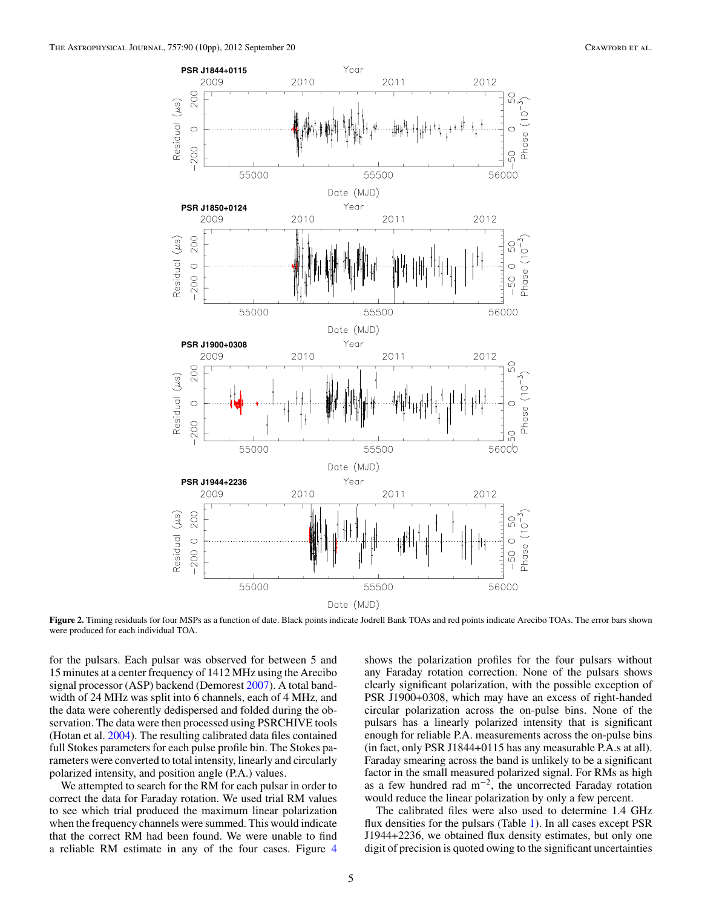<span id="page-5-0"></span>

**Figure 2.** Timing residuals for four MSPs as a function of date. Black points indicate Jodrell Bank TOAs and red points indicate Arecibo TOAs. The error bars shown were produced for each individual TOA.

for the pulsars. Each pulsar was observed for between 5 and 15 minutes at a center frequency of 1412 MHz using the Arecibo signal processor (ASP) backend (Demorest [2007\)](#page-10-0). A total bandwidth of 24 MHz was split into 6 channels, each of 4 MHz, and the data were coherently dedispersed and folded during the observation. The data were then processed using PSRCHIVE tools (Hotan et al. [2004\)](#page-10-0). The resulting calibrated data files contained full Stokes parameters for each pulse profile bin. The Stokes parameters were converted to total intensity, linearly and circularly polarized intensity, and position angle (P.A.) values.

We attempted to search for the RM for each pulsar in order to correct the data for Faraday rotation. We used trial RM values to see which trial produced the maximum linear polarization when the frequency channels were summed. This would indicate that the correct RM had been found. We were unable to find a reliable RM estimate in any of the four cases. Figure [4](#page-7-0)

shows the polarization profiles for the four pulsars without any Faraday rotation correction. None of the pulsars shows clearly significant polarization, with the possible exception of PSR J1900+0308, which may have an excess of right-handed circular polarization across the on-pulse bins. None of the pulsars has a linearly polarized intensity that is significant enough for reliable P.A. measurements across the on-pulse bins (in fact, only PSR J1844+0115 has any measurable P.A.s at all). Faraday smearing across the band is unlikely to be a significant factor in the small measured polarized signal. For RMs as high as a few hundred rad  $m^{-2}$ , the uncorrected Faraday rotation would reduce the linear polarization by only a few percent.

The calibrated files were also used to determine 1.4 GHz flux densities for the pulsars (Table [1\)](#page-3-0). In all cases except PSR J1944+2236, we obtained flux density estimates, but only one digit of precision is quoted owing to the significant uncertainties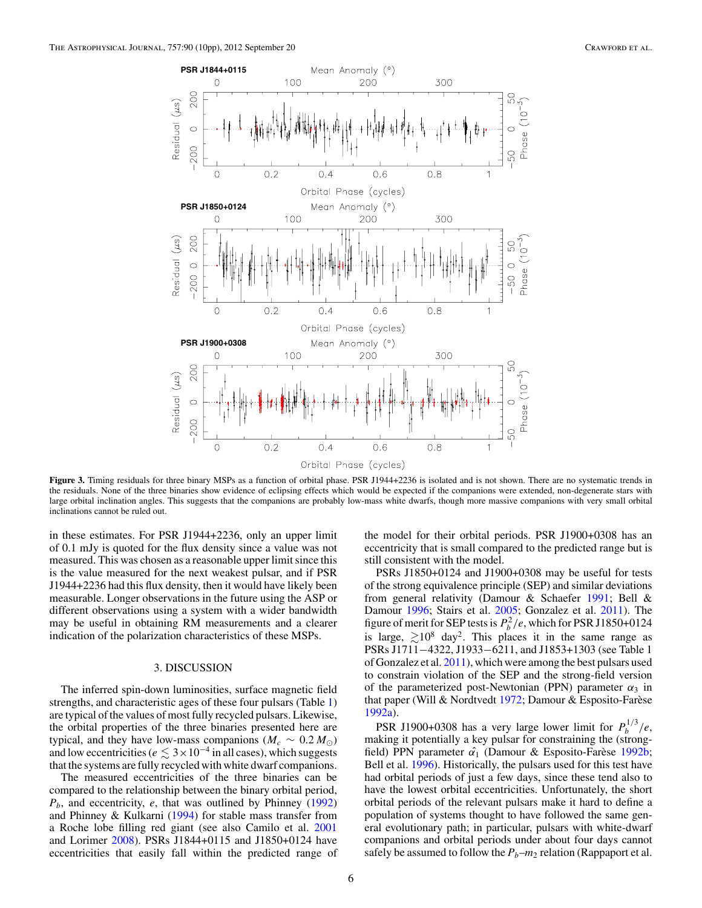<span id="page-6-0"></span>

Figure 3. Timing residuals for three binary MSPs as a function of orbital phase. PSR J1944+2236 is isolated and is not shown. There are no systematic trends in the residuals. None of the three binaries show evidence of eclipsing effects which would be expected if the companions were extended, non-degenerate stars with large orbital inclination angles. This suggests that the companions are probably low-mass white dwarfs, though more massive companions with very small orbital inclinations cannot be ruled out.

in these estimates. For PSR J1944+2236, only an upper limit of 0.1 mJy is quoted for the flux density since a value was not measured. This was chosen as a reasonable upper limit since this is the value measured for the next weakest pulsar, and if PSR J1944+2236 had this flux density, then it would have likely been measurable. Longer observations in the future using the ASP or different observations using a system with a wider bandwidth may be useful in obtaining RM measurements and a clearer indication of the polarization characteristics of these MSPs.

#### 3. DISCUSSION

The inferred spin-down luminosities, surface magnetic field strengths, and characteristic ages of these four pulsars (Table [1\)](#page-3-0) are typical of the values of most fully recycled pulsars. Likewise, the orbital properties of the three binaries presented here are typical, and they have low-mass companions ( $M_c \sim 0.2 M_{\odot}$ ) and low eccentricities ( $e \leq 3 \times 10^{-4}$  in all cases), which suggests that the systems are fully recycled with white dwarf companions.

The measured eccentricities of the three binaries can be compared to the relationship between the binary orbital period, *Pb*, and eccentricity, *e*, that was outlined by Phinney [\(1992\)](#page-10-0) and Phinney & Kulkarni [\(1994\)](#page-10-0) for stable mass transfer from a Roche lobe filling red giant (see also Camilo et al. [2001](#page-10-0) and Lorimer [2008\)](#page-10-0). PSRs J1844+0115 and J1850+0124 have eccentricities that easily fall within the predicted range of the model for their orbital periods. PSR J1900+0308 has an eccentricity that is small compared to the predicted range but is still consistent with the model.

PSRs J1850+0124 and J1900+0308 may be useful for tests of the strong equivalence principle (SEP) and similar deviations from general relativity (Damour & Schaefer [1991;](#page-10-0) Bell & Damour [1996;](#page-10-0) Stairs et al. [2005;](#page-10-0) Gonzalez et al. [2011\)](#page-10-0). The figure of merit for SEP tests is  $P_b^2/e$ , which for PSR J1850+0124 is large,  $\geq 10^8$  day<sup>2</sup>. This places it in the same range as PSRs J1711−4322, J1933−6211, and J1853+1303 (see Table 1 of Gonzalez et al. [2011\)](#page-10-0), which were among the best pulsars used to constrain violation of the SEP and the strong-field version of the parameterized post-Newtonian (PPN) parameter  $\alpha_3$  in that paper (Will & Nordtvedt [1972;](#page-10-0) Damour & Esposito-Farèse [1992a\)](#page-10-0).

PSR J1900+0308 has a very large lower limit for  $P_b^{1/3}/e$ , making it potentially a key pulsar for constraining the (strongfield) PPN parameter  $\hat{\alpha_1}$  (Damour & Esposito-Farese [1992b;](#page-10-0) Bell et al. [1996\)](#page-10-0). Historically, the pulsars used for this test have had orbital periods of just a few days, since these tend also to have the lowest orbital eccentricities. Unfortunately, the short orbital periods of the relevant pulsars make it hard to define a population of systems thought to have followed the same general evolutionary path; in particular, pulsars with white-dwarf companions and orbital periods under about four days cannot safely be assumed to follow the  $P_b$ – $m_2$  relation (Rappaport et al.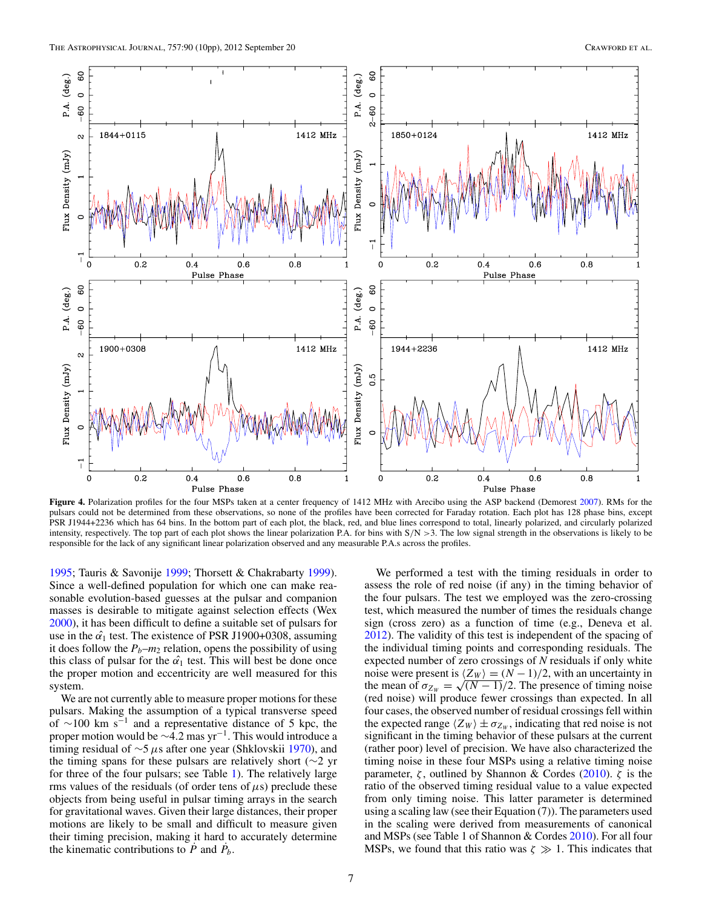<span id="page-7-0"></span>

Figure 4. Polarization profiles for the four MSPs taken at a center frequency of 1412 MHz with Arecibo using the ASP backend (Demorest [2007\)](#page-10-0). RMs for the pulsars could not be determined from these observations, so none of the profiles have been corrected for Faraday rotation. Each plot has 128 phase bins, except PSR J1944+2236 which has 64 bins. In the bottom part of each plot, the black, red, and blue lines correspond to total, linearly polarized, and circularly polarized intensity, respectively. The top part of each plot shows the linear polarization P.A. for bins with S*/*N *>*3. The low signal strength in the observations is likely to be responsible for the lack of any significant linear polarization observed and any measurable P.A.s across the profiles.

[1995;](#page-10-0) Tauris & Savonije [1999;](#page-10-0) Thorsett & Chakrabarty [1999\)](#page-10-0). Since a well-defined population for which one can make reasonable evolution-based guesses at the pulsar and companion masses is desirable to mitigate against selection effects (Wex [2000\)](#page-10-0), it has been difficult to define a suitable set of pulsars for use in the  $\hat{\alpha_1}$  test. The existence of PSR J1900+0308, assuming it does follow the  $P_b$ – $m_2$  relation, opens the possibility of using this class of pulsar for the  $\alpha_1$  test. This will best be done once the proper motion and eccentricity are well measured for this system.

We are not currently able to measure proper motions for these pulsars. Making the assumption of a typical transverse speed of  $\sim$ 100 km s<sup>-1</sup> and a representative distance of 5 kpc, the proper motion would be ~4.2 mas yr<sup>-1</sup>. This would introduce a timing residual of ∼5*μ*s after one year (Shklovskii [1970\)](#page-10-0), and the timing spans for these pulsars are relatively short (∼2 yr for three of the four pulsars; see Table [1\)](#page-3-0). The relatively large rms values of the residuals (of order tens of  $\mu$ s) preclude these objects from being useful in pulsar timing arrays in the search for gravitational waves. Given their large distances, their proper motions are likely to be small and difficult to measure given their timing precision, making it hard to accurately determine the kinematic contributions to  $\vec{P}$  and  $\vec{P}_b$ .

We performed a test with the timing residuals in order to assess the role of red noise (if any) in the timing behavior of the four pulsars. The test we employed was the zero-crossing test, which measured the number of times the residuals change sign (cross zero) as a function of time (e.g., Deneva et al. [2012\)](#page-10-0). The validity of this test is independent of the spacing of the individual timing points and corresponding residuals. The expected number of zero crossings of *N* residuals if only white noise were present is  $\langle Z_W \rangle = (N-1)/2$ , with an uncertainty in the mean of  $\sigma_{Z_W} = \sqrt{(N-1)}/2$ . The presence of timing noise (red noise) will produce fewer crossings than expected. In all four cases, the observed number of residual crossings fell within the expected range  $\langle Z_W \rangle \pm \sigma_{Z_W}$ , indicating that red noise is not significant in the timing behavior of these pulsars at the current (rather poor) level of precision. We have also characterized the timing noise in these four MSPs using a relative timing noise parameter, *ζ* , outlined by Shannon & Cordes [\(2010\)](#page-10-0). *ζ* is the ratio of the observed timing residual value to a value expected from only timing noise. This latter parameter is determined using a scaling law (see their Equation (7)). The parameters used in the scaling were derived from measurements of canonical and MSPs (see Table 1 of Shannon & Cordes [2010\)](#page-10-0). For all four MSPs, we found that this ratio was  $\zeta \gg 1$ . This indicates that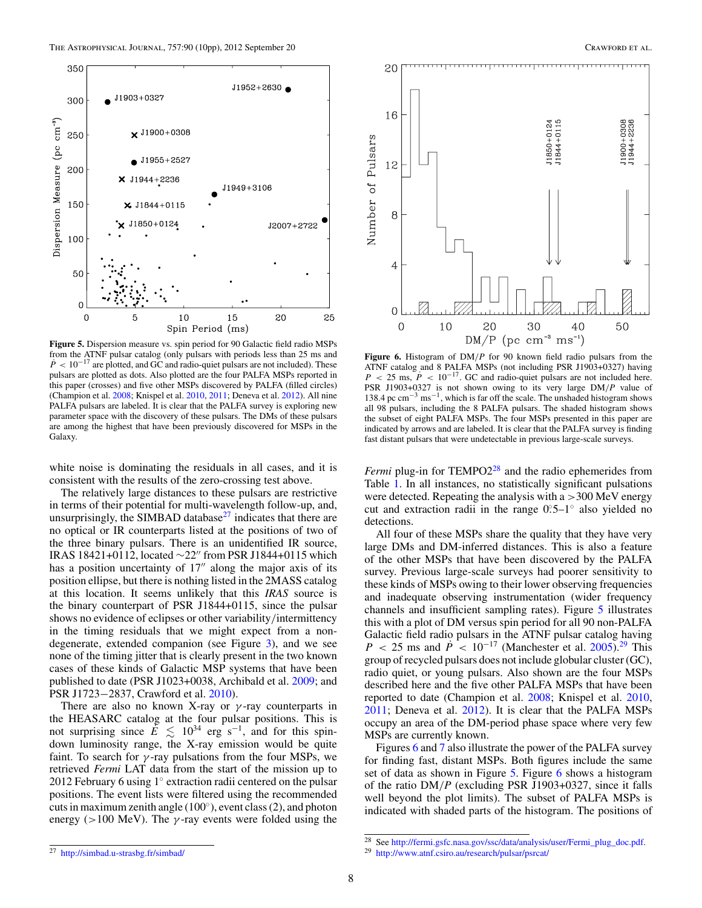

**Figure 5.** Dispersion measure vs. spin period for 90 Galactic field radio MSPs from the ATNF pulsar catalog (only pulsars with periods less than 25 ms and  $\dot{P}$  < 10<sup>-17</sup> are plotted, and GC and radio-quiet pulsars are not included). These pulsars are plotted as dots. Also plotted are the four PALFA MSPs reported in this paper (crosses) and five other MSPs discovered by PALFA (filled circles) (Champion et al. [2008;](#page-10-0) Knispel et al. [2010,](#page-10-0) [2011;](#page-10-0) Deneva et al. [2012\)](#page-10-0). All nine PALFA pulsars are labeled. It is clear that the PALFA survey is exploring new parameter space with the discovery of these pulsars. The DMs of these pulsars are among the highest that have been previously discovered for MSPs in the Galaxy.

white noise is dominating the residuals in all cases, and it is consistent with the results of the zero-crossing test above.

The relatively large distances to these pulsars are restrictive in terms of their potential for multi-wavelength follow-up, and, unsurprisingly, the SIMBAD database $^{27}$  indicates that there are no optical or IR counterparts listed at the positions of two of the three binary pulsars. There is an unidentified IR source, IRAS 18421+0112, located  $\sim$ 22" from PSR J1844+0115 which has a position uncertainty of  $17''$  along the major axis of its position ellipse, but there is nothing listed in the 2MASS catalog at this location. It seems unlikely that this *IRAS* source is the binary counterpart of PSR J1844+0115, since the pulsar shows no evidence of eclipses or other variability*/*intermittency in the timing residuals that we might expect from a nondegenerate, extended companion (see Figure [3\)](#page-6-0), and we see none of the timing jitter that is clearly present in the two known cases of these kinds of Galactic MSP systems that have been published to date (PSR J1023+0038, Archibald et al. [2009;](#page-10-0) and PSR J1723−2837, Crawford et al. [2010\)](#page-10-0).

There are also no known X-ray or *γ* -ray counterparts in the HEASARC catalog at the four pulsar positions. This is not surprising since  $E \leq 10^{34}$  erg s<sup>-1</sup>, and for this spindown luminosity range, the X-ray emission would be quite faint. To search for  $\gamma$ -ray pulsations from the four MSPs, we retrieved *Fermi* LAT data from the start of the mission up to 2012 February 6 using 1◦ extraction radii centered on the pulsar positions. The event lists were filtered using the recommended cuts in maximum zenith angle (100◦), event class (2), and photon energy ( $>100$  MeV). The  $\gamma$ -ray events were folded using the



**Figure 6.** Histogram of DM*/P* for 90 known field radio pulsars from the ATNF catalog and 8 PALFA MSPs (not including PSR J1903+0327) having  $P$  < 25 ms,  $\vec{P}$  < 10<sup>-17</sup>. GC and radio-quiet pulsars are not included here. PSR J1903+0327 is not shown owing to its very large DM*/P* value of 138.4 pc cm−<sup>3</sup> ms−1, which is far off the scale. The unshaded histogram shows all 98 pulsars, including the 8 PALFA pulsars. The shaded histogram shows the subset of eight PALFA MSPs. The four MSPs presented in this paper are indicated by arrows and are labeled. It is clear that the PALFA survey is finding fast distant pulsars that were undetectable in previous large-scale surveys.

*Fermi* plug-in for TEMPO2<sup>28</sup> and the radio ephemerides from Table [1.](#page-3-0) In all instances, no statistically significant pulsations were detected. Repeating the analysis with a *>*300 MeV energy cut and extraction radii in the range 0*.* ◦5–1◦ also yielded no detections.

All four of these MSPs share the quality that they have very large DMs and DM-inferred distances. This is also a feature of the other MSPs that have been discovered by the PALFA survey. Previous large-scale surveys had poorer sensitivity to these kinds of MSPs owing to their lower observing frequencies and inadequate observing instrumentation (wider frequency channels and insufficient sampling rates). Figure 5 illustrates this with a plot of DM versus spin period for all 90 non-PALFA Galactic field radio pulsars in the ATNF pulsar catalog having *P* < 25 ms and  $\dot{P}$  < 10<sup>-17</sup> (Manchester et al. [2005\)](#page-10-0).<sup>29</sup> This group of recycled pulsars does not include globular cluster (GC), radio quiet, or young pulsars. Also shown are the four MSPs described here and the five other PALFA MSPs that have been reported to date (Champion et al. [2008;](#page-10-0) Knispel et al. [2010,](#page-10-0) [2011;](#page-10-0) Deneva et al. [2012\)](#page-10-0). It is clear that the PALFA MSPs occupy an area of the DM-period phase space where very few MSPs are currently known.

Figures 6 and [7](#page-9-0) also illustrate the power of the PALFA survey for finding fast, distant MSPs. Both figures include the same set of data as shown in Figure 5. Figure 6 shows a histogram of the ratio DM*/P* (excluding PSR J1903+0327, since it falls well beyond the plot limits). The subset of PALFA MSPs is indicated with shaded parts of the histogram. The positions of

<sup>27</sup> <http://simbad.u-strasbg.fr/simbad/>

<sup>28</sup> See [http://fermi.gsfc.nasa.gov/ssc/data/analysis/user/Fermi\\_plug\\_doc.pdf.](http://fermi.gsfc.nasa.gov/ssc/data/analysis/user/Fermi_plug_doc.pdf)

<sup>29</sup> <http://www.atnf.csiro.au/research/pulsar/psrcat/>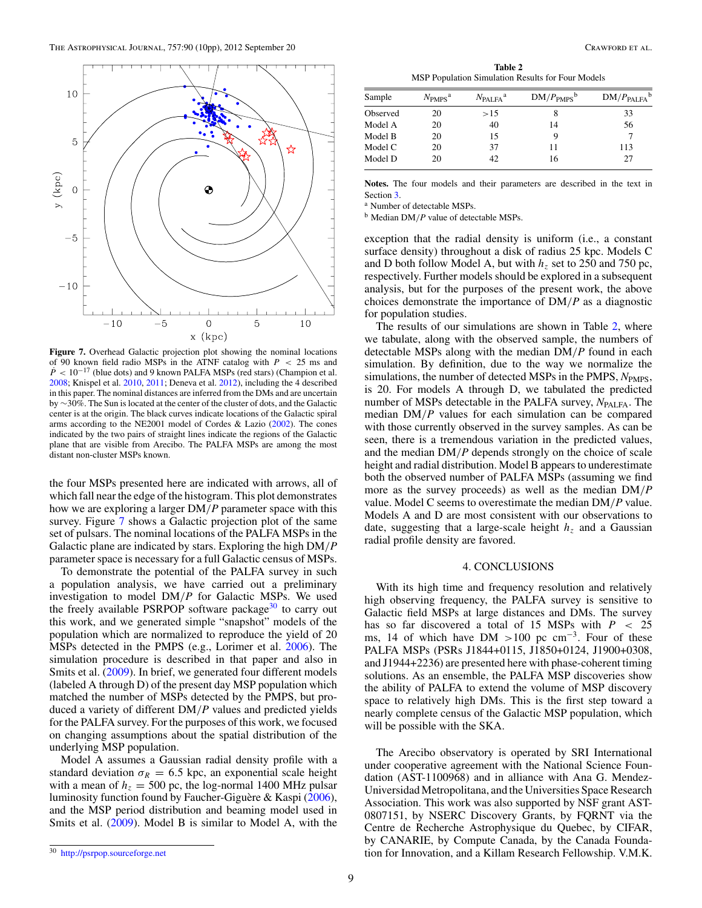<span id="page-9-0"></span>

**Figure 7.** Overhead Galactic projection plot showing the nominal locations of 90 known field radio MSPs in the ATNF catalog with *P <* 25 ms and  $\dot{P}$  < 10<sup>-17</sup> (blue dots) and 9 known PALFA MSPs (red stars) (Champion et al. [2008;](#page-10-0) Knispel et al. [2010,](#page-10-0) [2011;](#page-10-0) Deneva et al. [2012\)](#page-10-0), including the 4 described in this paper. The nominal distances are inferred from the DMs and are uncertain by ∼30%. The Sun is located at the center of the cluster of dots, and the Galactic center is at the origin. The black curves indicate locations of the Galactic spiral arms according to the NE2001 model of Cordes  $&$  Lazio [\(2002\)](#page-10-0). The cones indicated by the two pairs of straight lines indicate the regions of the Galactic plane that are visible from Arecibo. The PALFA MSPs are among the most distant non-cluster MSPs known.

the four MSPs presented here are indicated with arrows, all of which fall near the edge of the histogram. This plot demonstrates how we are exploring a larger DM*/P* parameter space with this survey. Figure 7 shows a Galactic projection plot of the same set of pulsars. The nominal locations of the PALFA MSPs in the Galactic plane are indicated by stars. Exploring the high DM*/P* parameter space is necessary for a full Galactic census of MSPs.

To demonstrate the potential of the PALFA survey in such a population analysis, we have carried out a preliminary investigation to model DM*/P* for Galactic MSPs. We used the freely available PSRPOP software package $30$  to carry out this work, and we generated simple "snapshot" models of the population which are normalized to reproduce the yield of 20 MSPs detected in the PMPS (e.g., Lorimer et al. [2006\)](#page-10-0). The simulation procedure is described in that paper and also in Smits et al. [\(2009\)](#page-10-0). In brief, we generated four different models (labeled A through D) of the present day MSP population which matched the number of MSPs detected by the PMPS, but produced a variety of different DM*/P* values and predicted yields for the PALFA survey. For the purposes of this work, we focused on changing assumptions about the spatial distribution of the underlying MSP population.

Model A assumes a Gaussian radial density profile with a standard deviation  $\sigma_R = 6.5$  kpc, an exponential scale height with a mean of  $h<sub>z</sub> = 500$  pc, the log-normal 1400 MHz pulsar luminosity function found by Faucher-Giguère & Kaspi  $(2006)$  $(2006)$ , and the MSP period distribution and beaming model used in Smits et al. [\(2009\)](#page-10-0). Model B is similar to Model A, with the

**Table 2** MSP Population Simulation Results for Four Models

| Sample   | $N_{PMPS}^{\text{a}}$ | $N_{\rm PALFA}$ <sup>a</sup> | $DM/PPMPS$ <sup>b</sup> | $DM/P_{\text{PALFA}}^{\text{d}}$ |
|----------|-----------------------|------------------------------|-------------------------|----------------------------------|
| Observed | 20                    | >15                          |                         | 33                               |
| Model A  | 20                    | 40                           | 14                      | 56                               |
| Model B  | 20                    | 15                           |                         |                                  |
| Model C  | 20                    | 37                           |                         | 113                              |
| Model D  | 20                    | 42                           | 16                      | 27                               |

**Notes.** The four models and their parameters are described in the text in Section [3.](#page-6-0)

<sup>a</sup> Number of detectable MSPs.

<sup>b</sup> Median DM*/P* value of detectable MSPs.

exception that the radial density is uniform (i.e., a constant surface density) throughout a disk of radius 25 kpc. Models C and D both follow Model A, but with  $h<sub>z</sub>$  set to 250 and 750 pc, respectively. Further models should be explored in a subsequent analysis, but for the purposes of the present work, the above choices demonstrate the importance of DM*/P* as a diagnostic for population studies.

The results of our simulations are shown in Table 2, where we tabulate, along with the observed sample, the numbers of detectable MSPs along with the median DM*/P* found in each simulation. By definition, due to the way we normalize the simulations, the number of detected MSPs in the PMPS,  $N_{PMPS}$ , is 20. For models A through D, we tabulated the predicted number of MSPs detectable in the PALFA survey, *N*<sub>PALFA</sub>. The median DM*/P* values for each simulation can be compared with those currently observed in the survey samples. As can be seen, there is a tremendous variation in the predicted values, and the median DM*/P* depends strongly on the choice of scale height and radial distribution. Model B appears to underestimate both the observed number of PALFA MSPs (assuming we find more as the survey proceeds) as well as the median DM*/P* value. Model C seems to overestimate the median DM*/P* value. Models A and D are most consistent with our observations to date, suggesting that a large-scale height  $h<sub>z</sub>$  and a Gaussian radial profile density are favored.

#### 4. CONCLUSIONS

With its high time and frequency resolution and relatively high observing frequency, the PALFA survey is sensitive to Galactic field MSPs at large distances and DMs. The survey has so far discovered a total of 15 MSPs with *P <* 25 ms, 14 of which have DM  $>100$  pc cm<sup>-3</sup>. Four of these PALFA MSPs (PSRs J1844+0115, J1850+0124, J1900+0308, and J1944+2236) are presented here with phase-coherent timing solutions. As an ensemble, the PALFA MSP discoveries show the ability of PALFA to extend the volume of MSP discovery space to relatively high DMs. This is the first step toward a nearly complete census of the Galactic MSP population, which will be possible with the SKA.

The Arecibo observatory is operated by SRI International under cooperative agreement with the National Science Foundation (AST-1100968) and in alliance with Ana G. Mendez-Universidad Metropolitana, and the Universities Space Research Association. This work was also supported by NSF grant AST-0807151, by NSERC Discovery Grants, by FQRNT via the Centre de Recherche Astrophysique du Quebec, by CIFAR, by CANARIE, by Compute Canada, by the Canada Foundation for Innovation, and a Killam Research Fellowship. V.M.K.

<sup>30</sup> <http://psrpop.sourceforge.net>